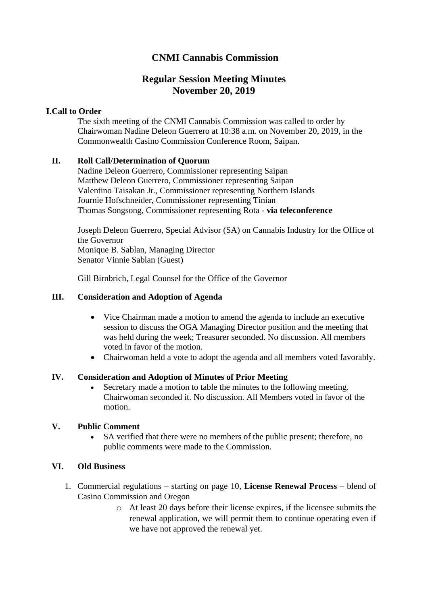# **CNMI Cannabis Commission**

# **Regular Session Meeting Minutes November 20, 2019**

### **I.Call to Order**

The sixth meeting of the CNMI Cannabis Commission was called to order by Chairwoman Nadine Deleon Guerrero at 10:38 a.m. on November 20, 2019, in the Commonwealth Casino Commission Conference Room, Saipan.

### **II. Roll Call/Determination of Quorum**

Nadine Deleon Guerrero, Commissioner representing Saipan Matthew Deleon Guerrero, Commissioner representing Saipan Valentino Taisakan Jr., Commissioner representing Northern Islands Journie Hofschneider, Commissioner representing Tinian Thomas Songsong, Commissioner representing Rota - **via teleconference**

Joseph Deleon Guerrero, Special Advisor (SA) on Cannabis Industry for the Office of the Governor Monique B. Sablan, Managing Director Senator Vinnie Sablan (Guest)

Gill Birnbrich, Legal Counsel for the Office of the Governor

#### **III. Consideration and Adoption of Agenda**

- Vice Chairman made a motion to amend the agenda to include an executive session to discuss the OGA Managing Director position and the meeting that was held during the week; Treasurer seconded. No discussion. All members voted in favor of the motion.
- Chairwoman held a vote to adopt the agenda and all members voted favorably.

#### **IV. Consideration and Adoption of Minutes of Prior Meeting**

• Secretary made a motion to table the minutes to the following meeting. Chairwoman seconded it. No discussion. All Members voted in favor of the motion.

#### **V. Public Comment**

SA verified that there were no members of the public present; therefore, no public comments were made to the Commission.

#### **VI. Old Business**

- 1. Commercial regulations starting on page 10, **License Renewal Process** blend of Casino Commission and Oregon
	- o At least 20 days before their license expires, if the licensee submits the renewal application, we will permit them to continue operating even if we have not approved the renewal yet.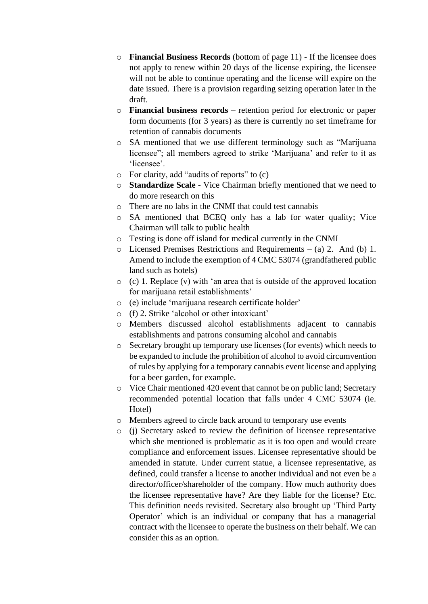- o **Financial Business Records** (bottom of page 11) If the licensee does not apply to renew within 20 days of the license expiring, the licensee will not be able to continue operating and the license will expire on the date issued. There is a provision regarding seizing operation later in the draft.
- o **Financial business records** retention period for electronic or paper form documents (for 3 years) as there is currently no set timeframe for retention of cannabis documents
- o SA mentioned that we use different terminology such as "Marijuana licensee"; all members agreed to strike 'Marijuana' and refer to it as 'licensee'.
- o For clarity, add "audits of reports" to (c)
- o **Standardize Scale** Vice Chairman briefly mentioned that we need to do more research on this
- o There are no labs in the CNMI that could test cannabis
- o SA mentioned that BCEQ only has a lab for water quality; Vice Chairman will talk to public health
- o Testing is done off island for medical currently in the CNMI
- o Licensed Premises Restrictions and Requirements (a) 2. And (b) 1. Amend to include the exemption of 4 CMC 53074 (grandfathered public land such as hotels)
- o (c) 1. Replace (v) with 'an area that is outside of the approved location for marijuana retail establishments'
- o (e) include 'marijuana research certificate holder'
- o (f) 2. Strike 'alcohol or other intoxicant'
- o Members discussed alcohol establishments adjacent to cannabis establishments and patrons consuming alcohol and cannabis
- o Secretary brought up temporary use licenses (for events) which needs to be expanded to include the prohibition of alcohol to avoid circumvention of rules by applying for a temporary cannabis event license and applying for a beer garden, for example.
- o Vice Chair mentioned 420 event that cannot be on public land; Secretary recommended potential location that falls under 4 CMC 53074 (ie. Hotel)
- o Members agreed to circle back around to temporary use events
- o (j) Secretary asked to review the definition of licensee representative which she mentioned is problematic as it is too open and would create compliance and enforcement issues. Licensee representative should be amended in statute. Under current statue, a licensee representative, as defined, could transfer a license to another individual and not even be a director/officer/shareholder of the company. How much authority does the licensee representative have? Are they liable for the license? Etc. This definition needs revisited. Secretary also brought up 'Third Party Operator' which is an individual or company that has a managerial contract with the licensee to operate the business on their behalf. We can consider this as an option.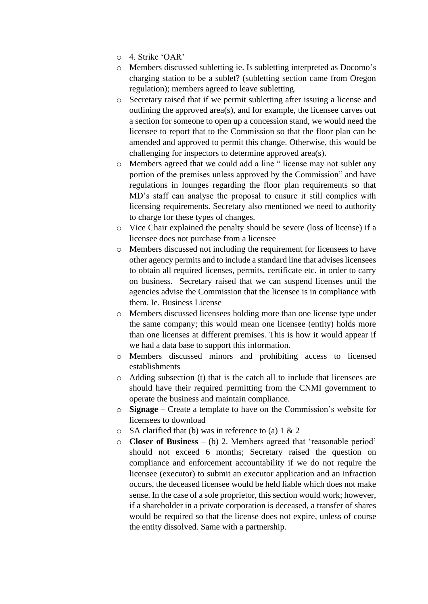- o 4. Strike 'OAR'
- o Members discussed subletting ie. Is subletting interpreted as Docomo's charging station to be a sublet? (subletting section came from Oregon regulation); members agreed to leave subletting.
- o Secretary raised that if we permit subletting after issuing a license and outlining the approved area(s), and for example, the licensee carves out a section for someone to open up a concession stand, we would need the licensee to report that to the Commission so that the floor plan can be amended and approved to permit this change. Otherwise, this would be challenging for inspectors to determine approved area(s).
- o Members agreed that we could add a line " license may not sublet any portion of the premises unless approved by the Commission" and have regulations in lounges regarding the floor plan requirements so that MD's staff can analyse the proposal to ensure it still complies with licensing requirements. Secretary also mentioned we need to authority to charge for these types of changes.
- o Vice Chair explained the penalty should be severe (loss of license) if a licensee does not purchase from a licensee
- o Members discussed not including the requirement for licensees to have other agency permits and to include a standard line that advises licensees to obtain all required licenses, permits, certificate etc. in order to carry on business. Secretary raised that we can suspend licenses until the agencies advise the Commission that the licensee is in compliance with them. Ie. Business License
- o Members discussed licensees holding more than one license type under the same company; this would mean one licensee (entity) holds more than one licenses at different premises. This is how it would appear if we had a data base to support this information.
- o Members discussed minors and prohibiting access to licensed establishments
- o Adding subsection (t) that is the catch all to include that licensees are should have their required permitting from the CNMI government to operate the business and maintain compliance.
- o **Signage** Create a template to have on the Commission's website for licensees to download
- $\circ$  SA clarified that (b) was in reference to (a) 1 & 2
- o **Closer of Business** (b) 2. Members agreed that 'reasonable period' should not exceed 6 months; Secretary raised the question on compliance and enforcement accountability if we do not require the licensee (executor) to submit an executor application and an infraction occurs, the deceased licensee would be held liable which does not make sense. In the case of a sole proprietor, this section would work; however, if a shareholder in a private corporation is deceased, a transfer of shares would be required so that the license does not expire, unless of course the entity dissolved. Same with a partnership.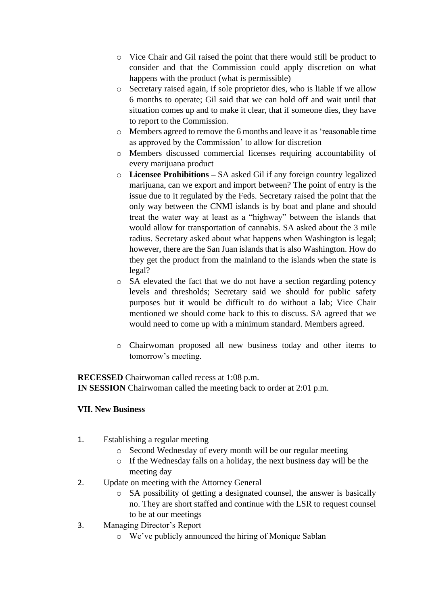- o Vice Chair and Gil raised the point that there would still be product to consider and that the Commission could apply discretion on what happens with the product (what is permissible)
- o Secretary raised again, if sole proprietor dies, who is liable if we allow 6 months to operate; Gil said that we can hold off and wait until that situation comes up and to make it clear, that if someone dies, they have to report to the Commission.
- o Members agreed to remove the 6 months and leave it as 'reasonable time as approved by the Commission' to allow for discretion
- o Members discussed commercial licenses requiring accountability of every marijuana product
- o **Licensee Prohibitions –** SA asked Gil if any foreign country legalized marijuana, can we export and import between? The point of entry is the issue due to it regulated by the Feds. Secretary raised the point that the only way between the CNMI islands is by boat and plane and should treat the water way at least as a "highway" between the islands that would allow for transportation of cannabis. SA asked about the 3 mile radius. Secretary asked about what happens when Washington is legal; however, there are the San Juan islands that is also Washington. How do they get the product from the mainland to the islands when the state is legal?
- o SA elevated the fact that we do not have a section regarding potency levels and thresholds; Secretary said we should for public safety purposes but it would be difficult to do without a lab; Vice Chair mentioned we should come back to this to discuss. SA agreed that we would need to come up with a minimum standard. Members agreed.
- o Chairwoman proposed all new business today and other items to tomorrow's meeting.

**RECESSED** Chairwoman called recess at 1:08 p.m. **IN SESSION** Chairwoman called the meeting back to order at 2:01 p.m.

#### **VII. New Business**

- 1. Establishing a regular meeting
	- o Second Wednesday of every month will be our regular meeting
	- o If the Wednesday falls on a holiday, the next business day will be the meeting day
- 2. Update on meeting with the Attorney General
	- o SA possibility of getting a designated counsel, the answer is basically no. They are short staffed and continue with the LSR to request counsel to be at our meetings
- 3. Managing Director's Report
	- o We've publicly announced the hiring of Monique Sablan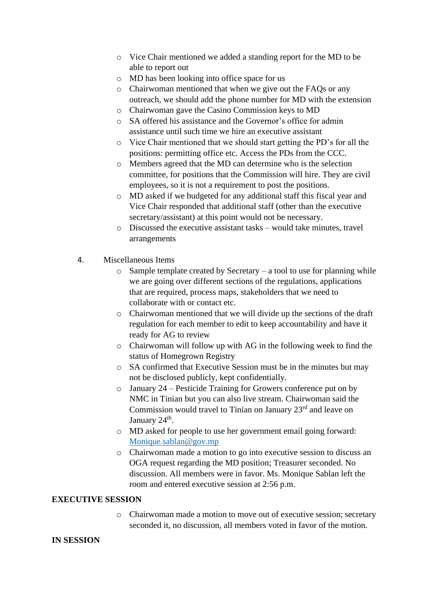- o Vice Chair mentioned we added a standing report for the MD to be able to report out
- o MD has been looking into office space for us
- o Chairwoman mentioned that when we give out the FAQs or any outreach, we should add the phone number for MD with the extension
- o Chairwoman gave the Casino Commission keys to MD
- o SA offered his assistance and the Governor's office for admin assistance until such time we hire an executive assistant
- o Vice Chair mentioned that we should start getting the PD's for all the positions: permitting office etc. Access the PDs from the CCC.
- o Members agreed that the MD can determine who is the selection committee, for positions that the Commission will hire. They are civil employees, so it is not a requirement to post the positions.
- o MD asked if we budgeted for any additional staff this fiscal year and Vice Chair responded that additional staff (other than the executive secretary/assistant) at this point would not be necessary.
- o Discussed the executive assistant tasks would take minutes, travel arrangements
- 4. Miscellaneous Items
	- $\circ$  Sample template created by Secretary a tool to use for planning while we are going over different sections of the regulations, applications that are required, process maps, stakeholders that we need to collaborate with or contact etc.
	- o Chairwoman mentioned that we will divide up the sections of the draft regulation for each member to edit to keep accountability and have it ready for AG to review
	- o Chairwoman will follow up with AG in the following week to find the status of Homegrown Registry
	- o SA confirmed that Executive Session must be in the minutes but may not be disclosed publicly, kept confidentially.
	- o January 24 Pesticide Training for Growers conference put on by NMC in Tinian but you can also live stream. Chairwoman said the Commission would travel to Tinian on January 23<sup>rd</sup> and leave on January 24<sup>th</sup>.
	- o MD asked for people to use her government email going forward: [Monique.sablan@gov.mp](mailto:Monique.sablan@gov.mp)
	- o Chairwoman made a motion to go into executive session to discuss an OGA request regarding the MD position; Treasurer seconded. No discussion. All members were in favor. Ms. Monique Sablan left the room and entered executive session at 2:56 p.m.

#### **EXECUTIVE SESSION**

o Chairwoman made a motion to move out of executive session; secretary seconded it, no discussion, all members voted in favor of the motion.

#### **IN SESSION**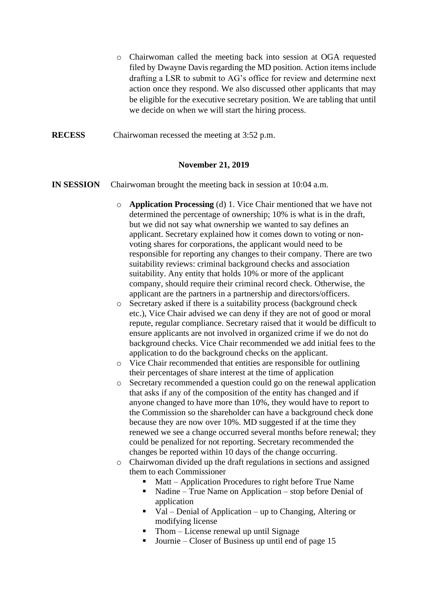- o Chairwoman called the meeting back into session at OGA requested filed by Dwayne Davis regarding the MD position. Action items include drafting a LSR to submit to AG's office for review and determine next action once they respond. We also discussed other applicants that may be eligible for the executive secretary position. We are tabling that until we decide on when we will start the hiring process.
- **RECESS** Chairwoman recessed the meeting at 3:52 p.m.

#### **November 21, 2019**

- **IN SESSION** Chairwoman brought the meeting back in session at 10:04 a.m.
	- o **Application Processing** (d) 1. Vice Chair mentioned that we have not determined the percentage of ownership; 10% is what is in the draft, but we did not say what ownership we wanted to say defines an applicant. Secretary explained how it comes down to voting or nonvoting shares for corporations, the applicant would need to be responsible for reporting any changes to their company. There are two suitability reviews: criminal background checks and association suitability. Any entity that holds 10% or more of the applicant company, should require their criminal record check. Otherwise, the applicant are the partners in a partnership and directors/officers.
	- o Secretary asked if there is a suitability process (background check etc.), Vice Chair advised we can deny if they are not of good or moral repute, regular compliance. Secretary raised that it would be difficult to ensure applicants are not involved in organized crime if we do not do background checks. Vice Chair recommended we add initial fees to the application to do the background checks on the applicant.
	- o Vice Chair recommended that entities are responsible for outlining their percentages of share interest at the time of application
	- o Secretary recommended a question could go on the renewal application that asks if any of the composition of the entity has changed and if anyone changed to have more than 10%, they would have to report to the Commission so the shareholder can have a background check done because they are now over 10%. MD suggested if at the time they renewed we see a change occurred several months before renewal; they could be penalized for not reporting. Secretary recommended the changes be reported within 10 days of the change occurring.
	- o Chairwoman divided up the draft regulations in sections and assigned them to each Commissioner
		- Matt Application Procedures to right before True Name
		- Nadine True Name on Application stop before Denial of application
		- Val Denial of Application up to Changing, Altering or modifying license
		- $\blacksquare$  Thom License renewal up until Signage
		- Journie Closer of Business up until end of page 15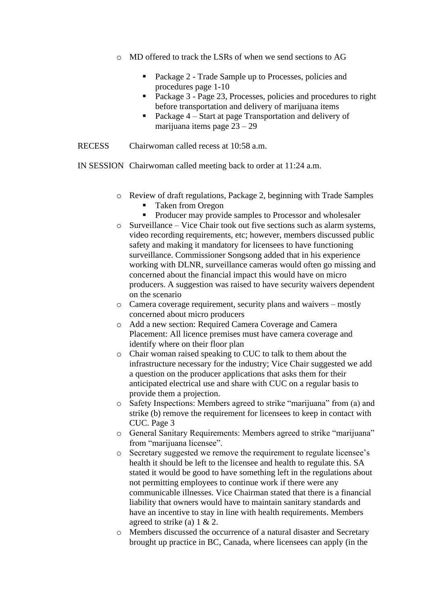- o MD offered to track the LSRs of when we send sections to AG
	- Package 2 Trade Sample up to Processes, policies and procedures page 1-10
	- Package 3 Page 23, Processes, policies and procedures to right before transportation and delivery of marijuana items
	- Package 4 Start at page Transportation and delivery of marijuana items page 23 – 29
- RECESS Chairwoman called recess at 10:58 a.m.
- IN SESSION Chairwoman called meeting back to order at 11:24 a.m.
	- o Review of draft regulations, Package 2, beginning with Trade Samples
		- Taken from Oregon
		- Producer may provide samples to Processor and wholesaler
	- o Surveillance Vice Chair took out five sections such as alarm systems, video recording requirements, etc; however, members discussed public safety and making it mandatory for licensees to have functioning surveillance. Commissioner Songsong added that in his experience working with DLNR, surveillance cameras would often go missing and concerned about the financial impact this would have on micro producers. A suggestion was raised to have security waivers dependent on the scenario
	- o Camera coverage requirement, security plans and waivers mostly concerned about micro producers
	- o Add a new section: Required Camera Coverage and Camera Placement: All licence premises must have camera coverage and identify where on their floor plan
	- o Chair woman raised speaking to CUC to talk to them about the infrastructure necessary for the industry; Vice Chair suggested we add a question on the producer applications that asks them for their anticipated electrical use and share with CUC on a regular basis to provide them a projection.
	- o Safety Inspections: Members agreed to strike "marijuana" from (a) and strike (b) remove the requirement for licensees to keep in contact with CUC. Page 3
	- o General Sanitary Requirements: Members agreed to strike "marijuana" from "marijuana licensee".
	- o Secretary suggested we remove the requirement to regulate licensee's health it should be left to the licensee and health to regulate this. SA stated it would be good to have something left in the regulations about not permitting employees to continue work if there were any communicable illnesses. Vice Chairman stated that there is a financial liability that owners would have to maintain sanitary standards and have an incentive to stay in line with health requirements. Members agreed to strike (a)  $1 \& 2$ .
	- o Members discussed the occurrence of a natural disaster and Secretary brought up practice in BC, Canada, where licensees can apply (in the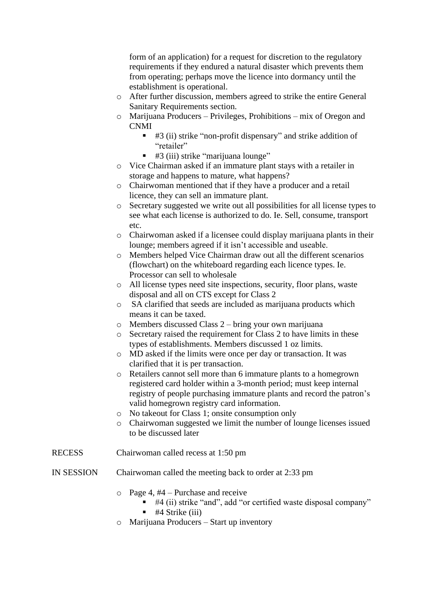form of an application) for a request for discretion to the regulatory requirements if they endured a natural disaster which prevents them from operating; perhaps move the licence into dormancy until the establishment is operational.

- o After further discussion, members agreed to strike the entire General Sanitary Requirements section.
- o Marijuana Producers Privileges, Prohibitions mix of Oregon and CNMI
	- #3 (ii) strike "non-profit dispensary" and strike addition of "retailer"
	- #3 (iii) strike "marijuana lounge"
- o Vice Chairman asked if an immature plant stays with a retailer in storage and happens to mature, what happens?
- o Chairwoman mentioned that if they have a producer and a retail licence, they can sell an immature plant.
- o Secretary suggested we write out all possibilities for all license types to see what each license is authorized to do. Ie. Sell, consume, transport etc.
- o Chairwoman asked if a licensee could display marijuana plants in their lounge; members agreed if it isn't accessible and useable.
- o Members helped Vice Chairman draw out all the different scenarios (flowchart) on the whiteboard regarding each licence types. Ie. Processor can sell to wholesale
- o All license types need site inspections, security, floor plans, waste disposal and all on CTS except for Class 2
- o SA clarified that seeds are included as marijuana products which means it can be taxed.
- o Members discussed Class 2 bring your own marijuana
- $\circ$  Secretary raised the requirement for Class 2 to have limits in these types of establishments. Members discussed 1 oz limits.
- o MD asked if the limits were once per day or transaction. It was clarified that it is per transaction.
- o Retailers cannot sell more than 6 immature plants to a homegrown registered card holder within a 3-month period; must keep internal registry of people purchasing immature plants and record the patron's valid homegrown registry card information.
- o No takeout for Class 1; onsite consumption only
- o Chairwoman suggested we limit the number of lounge licenses issued to be discussed later
- RECESS Chairwoman called recess at 1:50 pm
- IN SESSION Chairwoman called the meeting back to order at 2:33 pm
	- $\circ$  Page 4, #4 Purchase and receive
		- #4 (ii) strike "and", add "or certified waste disposal company"
		- #4 Strike (iii)
	- o Marijuana Producers Start up inventory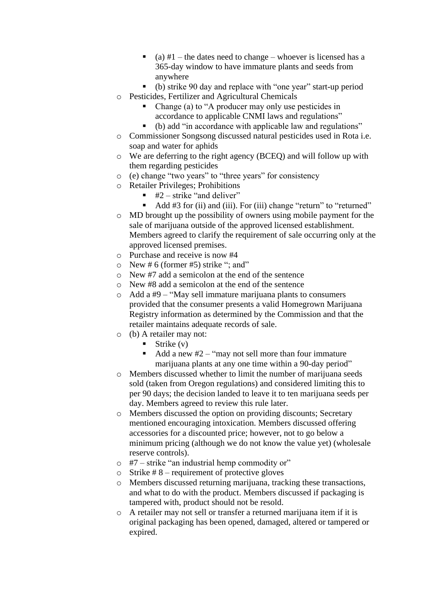- $\bullet$  (a) #1 the dates need to change whoever is licensed has a 365-day window to have immature plants and seeds from anywhere
- (b) strike 90 day and replace with "one year" start-up period
- o Pesticides, Fertilizer and Agricultural Chemicals
	- Change (a) to "A producer may only use pesticides in accordance to applicable CNMI laws and regulations"
	- (b) add "in accordance with applicable law and regulations"
- o Commissioner Songsong discussed natural pesticides used in Rota i.e. soap and water for aphids
- o We are deferring to the right agency (BCEQ) and will follow up with them regarding pesticides
- o (e) change "two years" to "three years" for consistency
- o Retailer Privileges; Prohibitions
	- $\blacksquare$  #2 strike "and deliver"
	- Add #3 for (ii) and (iii). For (iii) change "return" to "returned"
- o MD brought up the possibility of owners using mobile payment for the sale of marijuana outside of the approved licensed establishment. Members agreed to clarify the requirement of sale occurring only at the approved licensed premises.
- o Purchase and receive is now #4
- $\circ$  New # 6 (former #5) strike "; and"
- o New #7 add a semicolon at the end of the sentence
- o New #8 add a semicolon at the end of the sentence
- $\circ$  Add a #9 "May sell immature marijuana plants to consumers provided that the consumer presents a valid Homegrown Marijuana Registry information as determined by the Commission and that the retailer maintains adequate records of sale.
- o (b) A retailer may not:
	- $\blacksquare$  Strike (v)
	- Add a new  $#2 "may not sell more than four immature$ marijuana plants at any one time within a 90-day period"
- o Members discussed whether to limit the number of marijuana seeds sold (taken from Oregon regulations) and considered limiting this to per 90 days; the decision landed to leave it to ten marijuana seeds per day. Members agreed to review this rule later.
- o Members discussed the option on providing discounts; Secretary mentioned encouraging intoxication. Members discussed offering accessories for a discounted price; however, not to go below a minimum pricing (although we do not know the value yet) (wholesale reserve controls).
- $\circ$  #7 strike "an industrial hemp commodity or"
- $\circ$  Strike #8 requirement of protective gloves
- o Members discussed returning marijuana, tracking these transactions, and what to do with the product. Members discussed if packaging is tampered with, product should not be resold.
- o A retailer may not sell or transfer a returned marijuana item if it is original packaging has been opened, damaged, altered or tampered or expired.